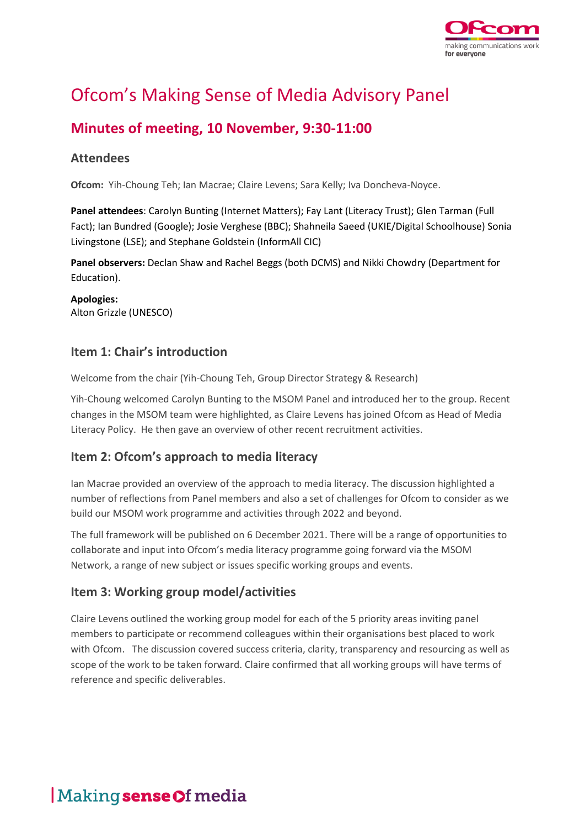

# Ofcom's Making Sense of Media Advisory Panel

### **Minutes of meeting, 10 November, 9:30-11:00**

#### **Attendees**

**Ofcom:** Yih-Choung Teh; Ian Macrae; Claire Levens; Sara Kelly; Iva Doncheva-Noyce.

**Panel attendees**: Carolyn Bunting (Internet Matters); Fay Lant (Literacy Trust); Glen Tarman (Full Fact); Ian Bundred (Google); Josie Verghese (BBC); Shahneila Saeed (UKIE/Digital Schoolhouse) Sonia Livingstone (LSE); and Stephane Goldstein (InformAll CIC)

**Panel observers:** Declan Shaw and Rachel Beggs (both DCMS) and Nikki Chowdry (Department for Education).

**Apologies:** Alton Grizzle (UNESCO)

#### **Item 1: Chair's introduction**

Welcome from the chair (Yih-Choung Teh, Group Director Strategy & Research)

Yih-Choung welcomed Carolyn Bunting to the MSOM Panel and introduced her to the group. Recent changes in the MSOM team were highlighted, as Claire Levens has joined Ofcom as Head of Media Literacy Policy. He then gave an overview of other recent recruitment activities.

#### **Item 2: Ofcom's approach to media literacy**

Ian Macrae provided an overview of the approach to media literacy. The discussion highlighted a number of reflections from Panel members and also a set of challenges for Ofcom to consider as we build our MSOM work programme and activities through 2022 and beyond.

The full framework will be published on 6 December 2021. There will be a range of opportunities to collaborate and input into Ofcom's media literacy programme going forward via the MSOM Network, a range of new subject or issues specific working groups and events.

#### **Item 3: Working group model/activities**

Claire Levens outlined the working group model for each of the 5 priority areas inviting panel members to participate or recommend colleagues within their organisations best placed to work with Ofcom. The discussion covered success criteria, clarity, transparency and resourcing as well as scope of the work to be taken forward. Claire confirmed that all working groups will have terms of reference and specific deliverables.

## Making sense Of media